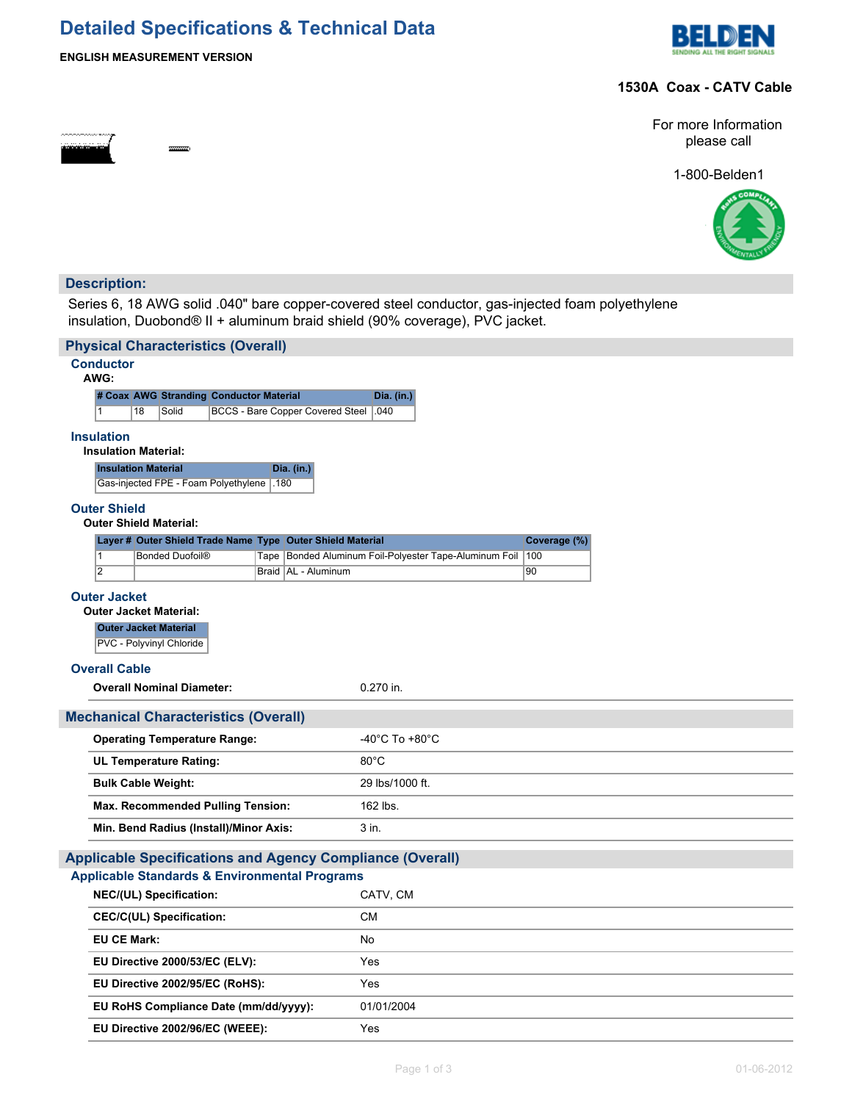# **Detailed Specifications & Technical Data**



### **ENGLISH MEASUREMENT VERSION**

æ.

## **1530A Coax - CATV Cable**



1-800-Belden1



# **Description:**

Series 6, 18 AWG solid .040" bare copper-covered steel conductor, gas-injected foam polyethylene insulation, Duobond® II + aluminum braid shield (90% coverage), PVC jacket.

| <b>Physical Characteristics (Overall)</b>                        |                                           |  |                                   |  |  |                                                            |                                      |                                                        |              |  |  |
|------------------------------------------------------------------|-------------------------------------------|--|-----------------------------------|--|--|------------------------------------------------------------|--------------------------------------|--------------------------------------------------------|--------------|--|--|
| <b>Conductor</b><br>AWG:                                         |                                           |  |                                   |  |  |                                                            |                                      |                                                        |              |  |  |
|                                                                  | # Coax AWG Stranding Conductor Material   |  |                                   |  |  |                                                            | Dia. (in.)                           |                                                        |              |  |  |
| 18<br><b>BCCS - Bare Copper Covered Steel</b><br>1<br>Solid      |                                           |  |                                   |  |  | .040                                                       |                                      |                                                        |              |  |  |
| <b>Insulation</b><br><b>Insulation Material:</b>                 |                                           |  |                                   |  |  |                                                            |                                      |                                                        |              |  |  |
|                                                                  | <b>Insulation Material</b><br>Dia. (in.)  |  |                                   |  |  |                                                            |                                      |                                                        |              |  |  |
|                                                                  | Gas-injected FPE - Foam Polyethylene 1.80 |  |                                   |  |  |                                                            |                                      |                                                        |              |  |  |
| <b>Outer Shield</b><br><b>Outer Shield Material:</b>             |                                           |  |                                   |  |  |                                                            |                                      |                                                        |              |  |  |
|                                                                  |                                           |  |                                   |  |  | Layer # Outer Shield Trade Name Type Outer Shield Material |                                      |                                                        | Coverage (%) |  |  |
|                                                                  | $\overline{1}$                            |  | Bonded Duofoil®                   |  |  |                                                            |                                      | Tape Bonded Aluminum Foil-Polyester Tape-Aluminum Foil | 100          |  |  |
|                                                                  | $\overline{2}$                            |  |                                   |  |  | Braid   AL - Aluminum                                      |                                      |                                                        | 90           |  |  |
|                                                                  | <b>Outer Jacket</b>                       |  |                                   |  |  |                                                            |                                      |                                                        |              |  |  |
|                                                                  | <b>Outer Jacket Material:</b>             |  |                                   |  |  |                                                            |                                      |                                                        |              |  |  |
|                                                                  | <b>Outer Jacket Material</b>              |  | PVC - Polyvinyl Chloride          |  |  |                                                            |                                      |                                                        |              |  |  |
|                                                                  |                                           |  |                                   |  |  |                                                            |                                      |                                                        |              |  |  |
|                                                                  | <b>Overall Cable</b>                      |  | <b>Overall Nominal Diameter:</b>  |  |  |                                                            | 0.270 in.                            |                                                        |              |  |  |
|                                                                  |                                           |  |                                   |  |  |                                                            |                                      |                                                        |              |  |  |
| <b>Mechanical Characteristics (Overall)</b>                      |                                           |  |                                   |  |  |                                                            |                                      |                                                        |              |  |  |
|                                                                  | <b>Operating Temperature Range:</b>       |  |                                   |  |  |                                                            | -40 $^{\circ}$ C To +80 $^{\circ}$ C |                                                        |              |  |  |
|                                                                  | <b>UL Temperature Rating:</b>             |  |                                   |  |  |                                                            | $80^{\circ}$ C                       |                                                        |              |  |  |
|                                                                  | <b>Bulk Cable Weight:</b>                 |  |                                   |  |  |                                                            | 29 lbs/1000 ft.                      |                                                        |              |  |  |
|                                                                  |                                           |  | Max. Recommended Pulling Tension: |  |  |                                                            | 162 lbs.                             |                                                        |              |  |  |
|                                                                  | Min. Bend Radius (Install)/Minor Axis:    |  |                                   |  |  |                                                            | 3 in.                                |                                                        |              |  |  |
| <b>Applicable Specifications and Agency Compliance (Overall)</b> |                                           |  |                                   |  |  |                                                            |                                      |                                                        |              |  |  |
|                                                                  |                                           |  |                                   |  |  | <b>Applicable Standards &amp; Environmental Programs</b>   |                                      |                                                        |              |  |  |
| NEC/(UL) Specification:                                          |                                           |  |                                   |  |  | CATV, CM                                                   |                                      |                                                        |              |  |  |
|                                                                  | <b>CEC/C(UL) Specification:</b>           |  |                                   |  |  |                                                            | <b>CM</b>                            |                                                        |              |  |  |
|                                                                  | <b>EU CE Mark:</b>                        |  |                                   |  |  |                                                            | No                                   |                                                        |              |  |  |
|                                                                  | EU Directive 2000/53/EC (ELV):            |  |                                   |  |  | Yes                                                        |                                      |                                                        |              |  |  |
|                                                                  | EU Directive 2002/95/EC (RoHS):           |  |                                   |  |  | Yes                                                        |                                      |                                                        |              |  |  |
|                                                                  | EU RoHS Compliance Date (mm/dd/yyyy):     |  |                                   |  |  |                                                            | 01/01/2004                           |                                                        |              |  |  |
| EU Directive 2002/96/EC (WEEE):                                  |                                           |  |                                   |  |  | Yes                                                        |                                      |                                                        |              |  |  |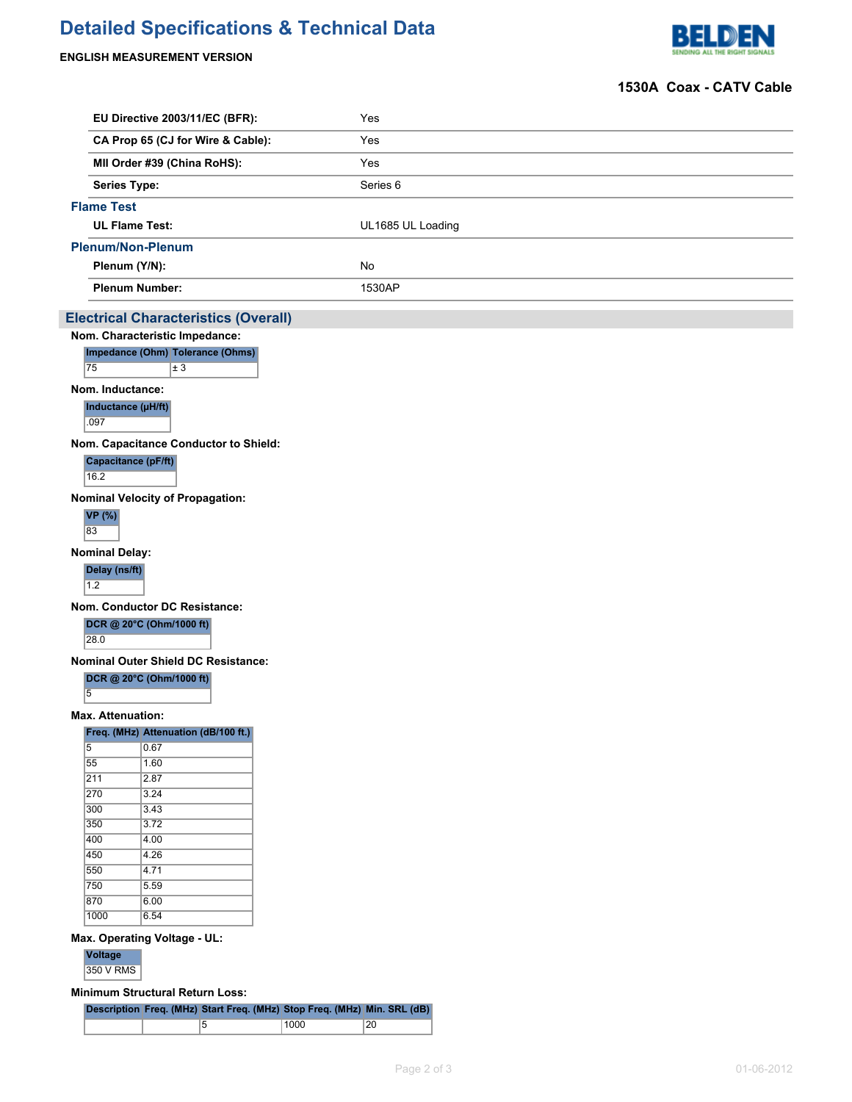# **Detailed Specifications & Technical Data**

## **ENGLISH MEASUREMENT VERSION**



### **1530A Coax - CATV Cable**

|                                                      | EU Directive 2003/11/EC (BFR):              |  | Yes                 |  |  |  |  |  |
|------------------------------------------------------|---------------------------------------------|--|---------------------|--|--|--|--|--|
|                                                      | CA Prop 65 (CJ for Wire & Cable):           |  | Yes                 |  |  |  |  |  |
|                                                      | MII Order #39 (China RoHS):                 |  | Yes                 |  |  |  |  |  |
| <b>Series Type:</b>                                  |                                             |  | Series <sub>6</sub> |  |  |  |  |  |
| <b>Flame Test</b>                                    |                                             |  |                     |  |  |  |  |  |
| <b>UL Flame Test:</b>                                |                                             |  | UL1685 UL Loading   |  |  |  |  |  |
| <b>Plenum/Non-Plenum</b>                             |                                             |  |                     |  |  |  |  |  |
| Plenum (Y/N):                                        |                                             |  | No                  |  |  |  |  |  |
| <b>Plenum Number:</b>                                |                                             |  | 1530AP              |  |  |  |  |  |
|                                                      | <b>Electrical Characteristics (Overall)</b> |  |                     |  |  |  |  |  |
|                                                      | Nom. Characteristic Impedance:              |  |                     |  |  |  |  |  |
|                                                      | Impedance (Ohm) Tolerance (Ohms)            |  |                     |  |  |  |  |  |
| 75                                                   | $\pm 3$                                     |  |                     |  |  |  |  |  |
| Nom. Inductance:                                     |                                             |  |                     |  |  |  |  |  |
| Inductance (µH/ft)<br>.097                           |                                             |  |                     |  |  |  |  |  |
|                                                      | Nom. Capacitance Conductor to Shield:       |  |                     |  |  |  |  |  |
| Capacitance (pF/ft)                                  |                                             |  |                     |  |  |  |  |  |
| 16.2                                                 |                                             |  |                     |  |  |  |  |  |
|                                                      | <b>Nominal Velocity of Propagation:</b>     |  |                     |  |  |  |  |  |
| <b>VP</b> (%)<br>83                                  |                                             |  |                     |  |  |  |  |  |
| <b>Nominal Delay:</b>                                |                                             |  |                     |  |  |  |  |  |
| Delay (ns/ft)<br>$1.2$                               |                                             |  |                     |  |  |  |  |  |
|                                                      | Nom. Conductor DC Resistance:               |  |                     |  |  |  |  |  |
| 28.0                                                 | DCR @ 20°C (Ohm/1000 ft)                    |  |                     |  |  |  |  |  |
|                                                      | <b>Nominal Outer Shield DC Resistance:</b>  |  |                     |  |  |  |  |  |
| $\overline{5}$                                       | DCR @ 20°C (Ohm/1000 ft)                    |  |                     |  |  |  |  |  |
| <b>Max. Attenuation:</b>                             |                                             |  |                     |  |  |  |  |  |
|                                                      | Freq. (MHz) Attenuation (dB/100 ft.)        |  |                     |  |  |  |  |  |
| $\overline{5}$                                       | 0.67                                        |  |                     |  |  |  |  |  |
| 55                                                   | 1.60                                        |  |                     |  |  |  |  |  |
| 211<br>270                                           | 2.87 <br>3.24                               |  |                     |  |  |  |  |  |
| 300                                                  | 3.43                                        |  |                     |  |  |  |  |  |
| 350                                                  | 3.72                                        |  |                     |  |  |  |  |  |
| 400                                                  | $\overline{4.00}$                           |  |                     |  |  |  |  |  |
| 450                                                  | 4.26                                        |  |                     |  |  |  |  |  |
| 550                                                  | $\overline{4.71}$                           |  |                     |  |  |  |  |  |
| 750                                                  | 5.59                                        |  |                     |  |  |  |  |  |
| 870<br>1000                                          | 6.00<br>6.54                                |  |                     |  |  |  |  |  |
|                                                      |                                             |  |                     |  |  |  |  |  |
| Max. Operating Voltage - UL:<br>Voltage<br>350 V RMS |                                             |  |                     |  |  |  |  |  |
|                                                      | <b>Minimum Structural Return Loss:</b>      |  |                     |  |  |  |  |  |

**Description Freq. (MHz) Start Freq. (MHz) Stop Freq. (MHz) Min. SRL (dB)** 5 1000 20